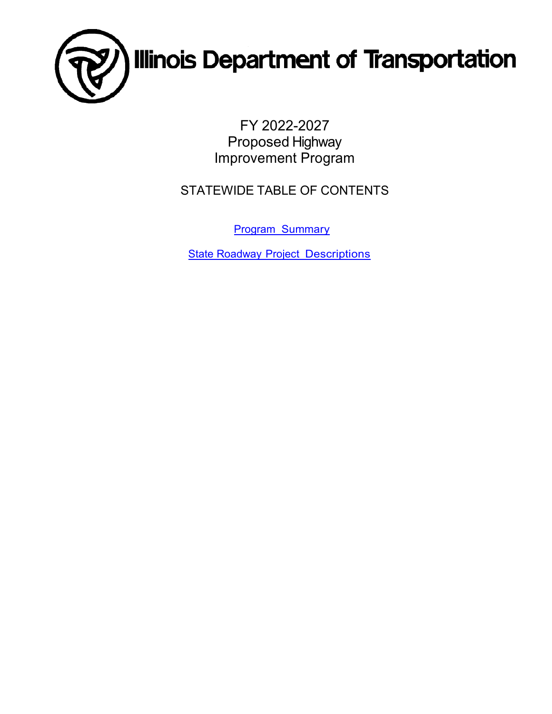

FY 2022-2027 Proposed Highway Improvement Program

STATEWIDE TABLE OF CONTENTS

[Program Summary](#page-1-0)

**[State Roadway Project](#page-2-0) Descriptions**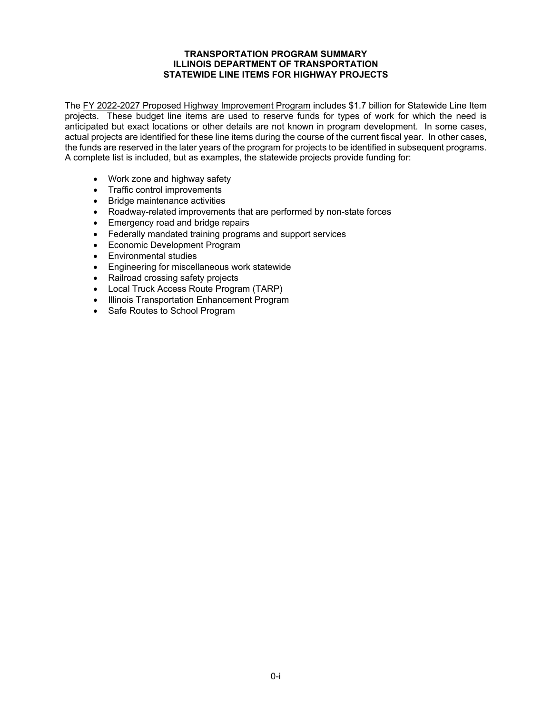#### **TRANSPORTATION PROGRAM SUMMARY ILLINOIS DEPARTMENT OF TRANSPORTATION STATEWIDE LINE ITEMS FOR HIGHWAY PROJECTS**

<span id="page-1-0"></span>The FY 2022-2027 Proposed Highway Improvement Program includes \$1.7 billion for Statewide Line Item projects. These budget line items are used to reserve funds for types of work for which the need is anticipated but exact locations or other details are not known in program development. In some cases, actual projects are identified for these line items during the course of the current fiscal year. In other cases, the funds are reserved in the later years of the program for projects to be identified in subsequent programs. A complete list is included, but as examples, the statewide projects provide funding for:

- Work zone and highway safety
- Traffic control improvements
- Bridge maintenance activities
- Roadway-related improvements that are performed by non-state forces
- Emergency road and bridge repairs
- Federally mandated training programs and support services
- Economic Development Program
- Environmental studies
- Engineering for miscellaneous work statewide
- Railroad crossing safety projects
- Local Truck Access Route Program (TARP)
- Illinois Transportation Enhancement Program
- Safe Routes to School Program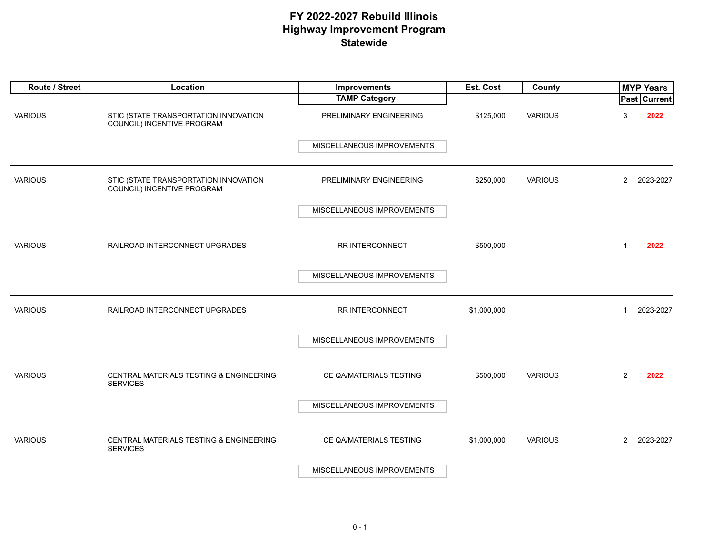<span id="page-2-0"></span>

| Route / Street | Location                                                            | Improvements               | Est. Cost   | County         |                | <b>MYP Years</b> |
|----------------|---------------------------------------------------------------------|----------------------------|-------------|----------------|----------------|------------------|
|                |                                                                     | <b>TAMP Category</b>       |             |                |                | Past Current     |
| <b>VARIOUS</b> | STIC (STATE TRANSPORTATION INNOVATION<br>COUNCIL) INCENTIVE PROGRAM | PRELIMINARY ENGINEERING    | \$125,000   | <b>VARIOUS</b> | 3              | 2022             |
|                |                                                                     | MISCELLANEOUS IMPROVEMENTS |             |                |                |                  |
| <b>VARIOUS</b> | STIC (STATE TRANSPORTATION INNOVATION<br>COUNCIL) INCENTIVE PROGRAM | PRELIMINARY ENGINEERING    | \$250,000   | <b>VARIOUS</b> | $\overline{2}$ | 2023-2027        |
|                |                                                                     | MISCELLANEOUS IMPROVEMENTS |             |                |                |                  |
| <b>VARIOUS</b> | RAILROAD INTERCONNECT UPGRADES                                      | RR INTERCONNECT            | \$500,000   |                | $\mathbf{1}$   | 2022             |
|                |                                                                     | MISCELLANEOUS IMPROVEMENTS |             |                |                |                  |
| <b>VARIOUS</b> | RAILROAD INTERCONNECT UPGRADES                                      | RR INTERCONNECT            | \$1,000,000 |                | $\mathbf{1}$   | 2023-2027        |
|                |                                                                     | MISCELLANEOUS IMPROVEMENTS |             |                |                |                  |
| <b>VARIOUS</b> | CENTRAL MATERIALS TESTING & ENGINEERING<br><b>SERVICES</b>          | CE QA/MATERIALS TESTING    | \$500,000   | <b>VARIOUS</b> | 2              | 2022             |
|                |                                                                     | MISCELLANEOUS IMPROVEMENTS |             |                |                |                  |
| <b>VARIOUS</b> | CENTRAL MATERIALS TESTING & ENGINEERING<br><b>SERVICES</b>          | CE QA/MATERIALS TESTING    | \$1,000,000 | <b>VARIOUS</b> | $\overline{2}$ | 2023-2027        |
|                |                                                                     | MISCELLANEOUS IMPROVEMENTS |             |                |                |                  |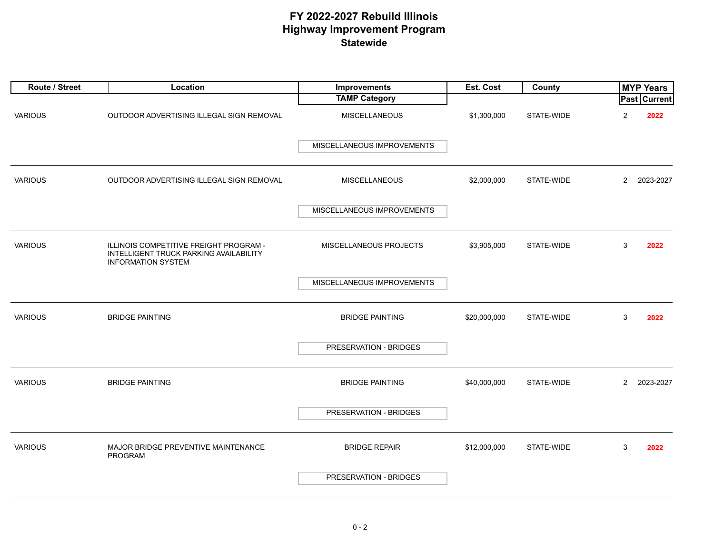| Route / Street | Location                                                                                                      | <b>Improvements</b>        | Est. Cost    | County     |                | <b>MYP Years</b>    |
|----------------|---------------------------------------------------------------------------------------------------------------|----------------------------|--------------|------------|----------------|---------------------|
|                |                                                                                                               | <b>TAMP Category</b>       |              |            |                | <b>Past Current</b> |
| <b>VARIOUS</b> | OUTDOOR ADVERTISING ILLEGAL SIGN REMOVAL                                                                      | <b>MISCELLANEOUS</b>       | \$1,300,000  | STATE-WIDE | 2              | 2022                |
|                |                                                                                                               | MISCELLANEOUS IMPROVEMENTS |              |            |                |                     |
| <b>VARIOUS</b> | OUTDOOR ADVERTISING ILLEGAL SIGN REMOVAL                                                                      | <b>MISCELLANEOUS</b>       | \$2,000,000  | STATE-WIDE | $\overline{2}$ | 2023-2027           |
|                |                                                                                                               | MISCELLANEOUS IMPROVEMENTS |              |            |                |                     |
| <b>VARIOUS</b> | ILLINOIS COMPETITIVE FREIGHT PROGRAM -<br>INTELLIGENT TRUCK PARKING AVAILABILITY<br><b>INFORMATION SYSTEM</b> | MISCELLANEOUS PROJECTS     | \$3,905,000  | STATE-WIDE | 3              | 2022                |
|                |                                                                                                               | MISCELLANEOUS IMPROVEMENTS |              |            |                |                     |
| <b>VARIOUS</b> | <b>BRIDGE PAINTING</b>                                                                                        | <b>BRIDGE PAINTING</b>     | \$20,000,000 | STATE-WIDE | 3              | 2022                |
|                |                                                                                                               | PRESERVATION - BRIDGES     |              |            |                |                     |
| <b>VARIOUS</b> | <b>BRIDGE PAINTING</b>                                                                                        | <b>BRIDGE PAINTING</b>     | \$40,000,000 | STATE-WIDE | $\mathbf{2}$   | 2023-2027           |
|                |                                                                                                               | PRESERVATION - BRIDGES     |              |            |                |                     |
| <b>VARIOUS</b> | MAJOR BRIDGE PREVENTIVE MAINTENANCE<br>PROGRAM                                                                | <b>BRIDGE REPAIR</b>       | \$12,000,000 | STATE-WIDE | 3              | 2022                |
|                |                                                                                                               | PRESERVATION - BRIDGES     |              |            |                |                     |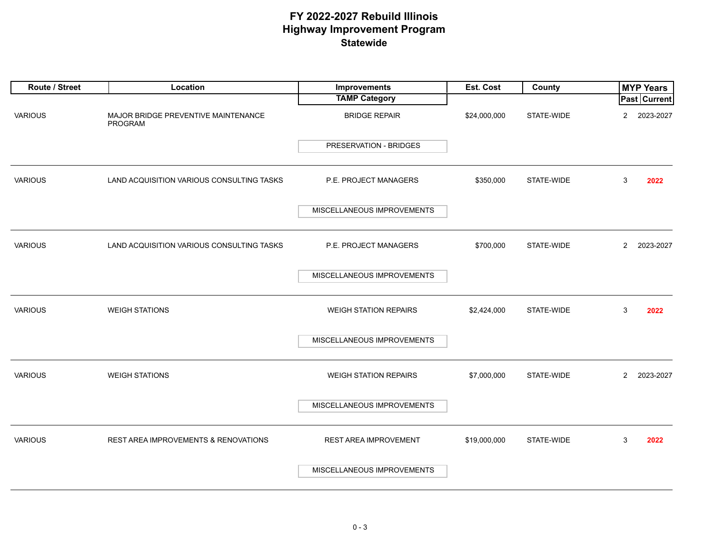| Route / Street | Location                                              | Improvements                  | Est. Cost    | County     | <b>MYP Years</b>            |
|----------------|-------------------------------------------------------|-------------------------------|--------------|------------|-----------------------------|
|                |                                                       | <b>TAMP Category</b>          |              |            | <b>Past Current</b>         |
| <b>VARIOUS</b> | MAJOR BRIDGE PREVENTIVE MAINTENANCE<br><b>PROGRAM</b> | <b>BRIDGE REPAIR</b>          | \$24,000,000 | STATE-WIDE | $\overline{2}$<br>2023-2027 |
|                |                                                       | <b>PRESERVATION - BRIDGES</b> |              |            |                             |
| <b>VARIOUS</b> | LAND ACQUISITION VARIOUS CONSULTING TASKS             | P.E. PROJECT MANAGERS         | \$350,000    | STATE-WIDE | 3<br>2022                   |
|                |                                                       | MISCELLANEOUS IMPROVEMENTS    |              |            |                             |
| <b>VARIOUS</b> | LAND ACQUISITION VARIOUS CONSULTING TASKS             | P.E. PROJECT MANAGERS         | \$700,000    | STATE-WIDE | $\overline{2}$<br>2023-2027 |
|                |                                                       | MISCELLANEOUS IMPROVEMENTS    |              |            |                             |
| <b>VARIOUS</b> | <b>WEIGH STATIONS</b>                                 | <b>WEIGH STATION REPAIRS</b>  | \$2,424,000  | STATE-WIDE | 3<br>2022                   |
|                |                                                       | MISCELLANEOUS IMPROVEMENTS    |              |            |                             |
| <b>VARIOUS</b> | <b>WEIGH STATIONS</b>                                 | <b>WEIGH STATION REPAIRS</b>  | \$7,000,000  | STATE-WIDE | 2023-2027<br>$\overline{2}$ |
|                |                                                       | MISCELLANEOUS IMPROVEMENTS    |              |            |                             |
| <b>VARIOUS</b> | <b>REST AREA IMPROVEMENTS &amp; RENOVATIONS</b>       | REST AREA IMPROVEMENT         | \$19,000,000 | STATE-WIDE | 3<br>2022                   |
|                |                                                       | MISCELLANEOUS IMPROVEMENTS    |              |            |                             |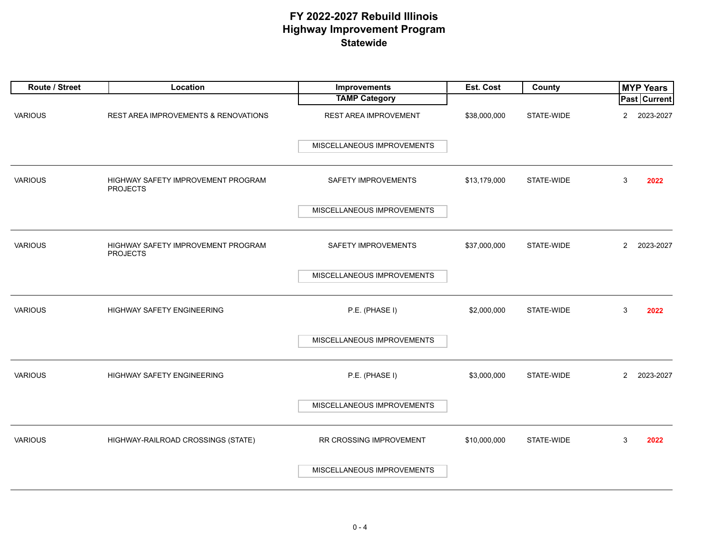| Route / Street | Location                                              | Improvements               | Est. Cost    | County     |                | <b>MYP Years</b>    |
|----------------|-------------------------------------------------------|----------------------------|--------------|------------|----------------|---------------------|
|                |                                                       | <b>TAMP Category</b>       |              |            |                | <b>Past Current</b> |
| <b>VARIOUS</b> | REST AREA IMPROVEMENTS & RENOVATIONS                  | REST AREA IMPROVEMENT      | \$38,000,000 | STATE-WIDE | $\overline{2}$ | 2023-2027           |
|                |                                                       | MISCELLANEOUS IMPROVEMENTS |              |            |                |                     |
| <b>VARIOUS</b> | HIGHWAY SAFETY IMPROVEMENT PROGRAM<br><b>PROJECTS</b> | SAFETY IMPROVEMENTS        | \$13,179,000 | STATE-WIDE | 3              | 2022                |
|                |                                                       | MISCELLANEOUS IMPROVEMENTS |              |            |                |                     |
| <b>VARIOUS</b> | HIGHWAY SAFETY IMPROVEMENT PROGRAM<br><b>PROJECTS</b> | SAFETY IMPROVEMENTS        | \$37,000,000 | STATE-WIDE | $\overline{2}$ | 2023-2027           |
|                |                                                       | MISCELLANEOUS IMPROVEMENTS |              |            |                |                     |
| <b>VARIOUS</b> | HIGHWAY SAFETY ENGINEERING                            | P.E. (PHASE I)             | \$2,000,000  | STATE-WIDE | 3              | 2022                |
|                |                                                       | MISCELLANEOUS IMPROVEMENTS |              |            |                |                     |
| <b>VARIOUS</b> | HIGHWAY SAFETY ENGINEERING                            | P.E. (PHASE I)             | \$3,000,000  | STATE-WIDE | $\overline{2}$ | 2023-2027           |
|                |                                                       | MISCELLANEOUS IMPROVEMENTS |              |            |                |                     |
| <b>VARIOUS</b> | HIGHWAY-RAILROAD CROSSINGS (STATE)                    | RR CROSSING IMPROVEMENT    | \$10,000,000 | STATE-WIDE | 3              | 2022                |
|                |                                                       | MISCELLANEOUS IMPROVEMENTS |              |            |                |                     |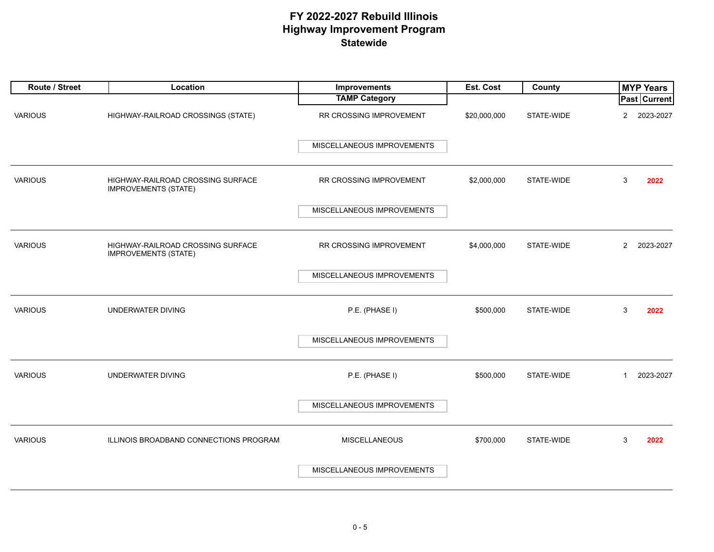| Route / Street | Location                                                         | Improvements               | Est. Cost    | County     | <b>MYP Years</b>            |
|----------------|------------------------------------------------------------------|----------------------------|--------------|------------|-----------------------------|
|                |                                                                  | <b>TAMP Category</b>       |              |            | <b>Past Current</b>         |
| <b>VARIOUS</b> | HIGHWAY-RAILROAD CROSSINGS (STATE)                               | RR CROSSING IMPROVEMENT    | \$20,000,000 | STATE-WIDE | $\overline{2}$<br>2023-2027 |
|                |                                                                  | MISCELLANEOUS IMPROVEMENTS |              |            |                             |
| <b>VARIOUS</b> | HIGHWAY-RAILROAD CROSSING SURFACE<br><b>IMPROVEMENTS (STATE)</b> | RR CROSSING IMPROVEMENT    | \$2,000,000  | STATE-WIDE | 3<br>2022                   |
|                |                                                                  | MISCELLANEOUS IMPROVEMENTS |              |            |                             |
| <b>VARIOUS</b> | HIGHWAY-RAILROAD CROSSING SURFACE<br><b>IMPROVEMENTS (STATE)</b> | RR CROSSING IMPROVEMENT    | \$4,000,000  | STATE-WIDE | $\overline{2}$<br>2023-2027 |
|                |                                                                  | MISCELLANEOUS IMPROVEMENTS |              |            |                             |
| <b>VARIOUS</b> | UNDERWATER DIVING                                                | P.E. (PHASE I)             | \$500,000    | STATE-WIDE | 3<br>2022                   |
|                |                                                                  | MISCELLANEOUS IMPROVEMENTS |              |            |                             |
| <b>VARIOUS</b> | <b>UNDERWATER DIVING</b>                                         | P.E. (PHASE I)             | \$500,000    | STATE-WIDE | 2023-2027<br>$\mathbf{1}$   |
|                |                                                                  | MISCELLANEOUS IMPROVEMENTS |              |            |                             |
| <b>VARIOUS</b> | ILLINOIS BROADBAND CONNECTIONS PROGRAM                           | <b>MISCELLANEOUS</b>       | \$700,000    | STATE-WIDE | 3<br>2022                   |
|                |                                                                  | MISCELLANEOUS IMPROVEMENTS |              |            |                             |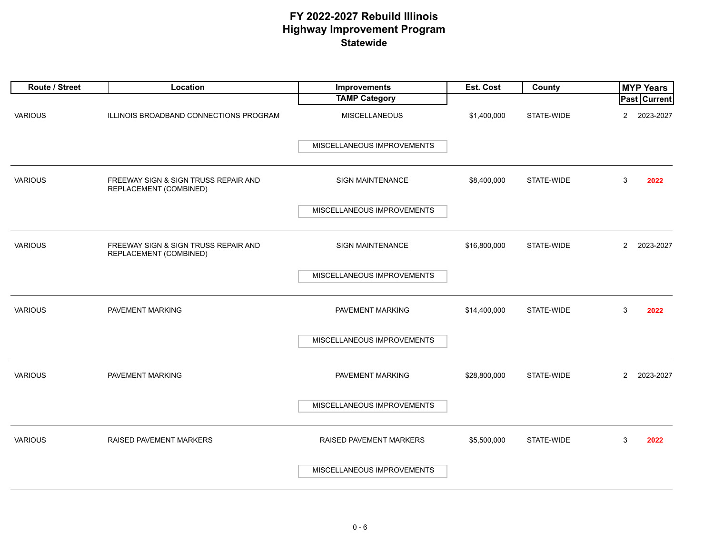| Route / Street | Location                                                       | <b>Improvements</b>        | Est. Cost    | County     | <b>MYP Years</b>            |
|----------------|----------------------------------------------------------------|----------------------------|--------------|------------|-----------------------------|
|                |                                                                | <b>TAMP Category</b>       |              |            | Past Current                |
| <b>VARIOUS</b> | ILLINOIS BROADBAND CONNECTIONS PROGRAM                         | MISCELLANEOUS              | \$1,400,000  | STATE-WIDE | $\overline{2}$<br>2023-2027 |
|                |                                                                | MISCELLANEOUS IMPROVEMENTS |              |            |                             |
| <b>VARIOUS</b> | FREEWAY SIGN & SIGN TRUSS REPAIR AND<br>REPLACEMENT (COMBINED) | SIGN MAINTENANCE           | \$8,400,000  | STATE-WIDE | 3<br>2022                   |
|                |                                                                | MISCELLANEOUS IMPROVEMENTS |              |            |                             |
| <b>VARIOUS</b> | FREEWAY SIGN & SIGN TRUSS REPAIR AND<br>REPLACEMENT (COMBINED) | SIGN MAINTENANCE           | \$16,800,000 | STATE-WIDE | $\overline{2}$<br>2023-2027 |
|                |                                                                | MISCELLANEOUS IMPROVEMENTS |              |            |                             |
| <b>VARIOUS</b> | PAVEMENT MARKING                                               | PAVEMENT MARKING           | \$14,400,000 | STATE-WIDE | 3<br>2022                   |
|                |                                                                | MISCELLANEOUS IMPROVEMENTS |              |            |                             |
| <b>VARIOUS</b> | PAVEMENT MARKING                                               | PAVEMENT MARKING           | \$28,800,000 | STATE-WIDE | $\overline{2}$<br>2023-2027 |
|                |                                                                | MISCELLANEOUS IMPROVEMENTS |              |            |                             |
| <b>VARIOUS</b> | <b>RAISED PAVEMENT MARKERS</b>                                 | RAISED PAVEMENT MARKERS    | \$5,500,000  | STATE-WIDE | 3<br>2022                   |
|                |                                                                | MISCELLANEOUS IMPROVEMENTS |              |            |                             |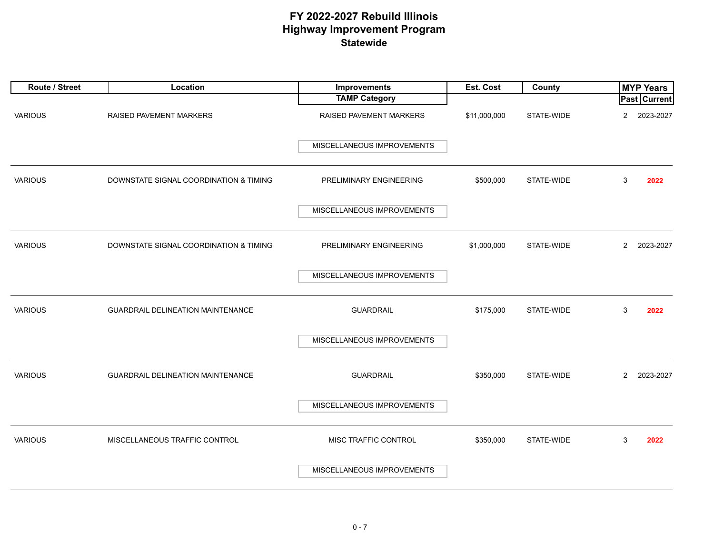| Route / Street | Location                                 | Improvements               | Est. Cost    | County     |                | <b>MYP Years</b>    |
|----------------|------------------------------------------|----------------------------|--------------|------------|----------------|---------------------|
|                |                                          | <b>TAMP Category</b>       |              |            |                | <b>Past Current</b> |
| <b>VARIOUS</b> | RAISED PAVEMENT MARKERS                  | RAISED PAVEMENT MARKERS    | \$11,000,000 | STATE-WIDE | $\overline{2}$ | 2023-2027           |
|                |                                          | MISCELLANEOUS IMPROVEMENTS |              |            |                |                     |
| <b>VARIOUS</b> | DOWNSTATE SIGNAL COORDINATION & TIMING   | PRELIMINARY ENGINEERING    | \$500,000    | STATE-WIDE | 3              | 2022                |
|                |                                          | MISCELLANEOUS IMPROVEMENTS |              |            |                |                     |
| <b>VARIOUS</b> | DOWNSTATE SIGNAL COORDINATION & TIMING   | PRELIMINARY ENGINEERING    | \$1,000,000  | STATE-WIDE | $\overline{2}$ | 2023-2027           |
|                |                                          | MISCELLANEOUS IMPROVEMENTS |              |            |                |                     |
| <b>VARIOUS</b> | <b>GUARDRAIL DELINEATION MAINTENANCE</b> | <b>GUARDRAIL</b>           | \$175,000    | STATE-WIDE | 3              | 2022                |
|                |                                          | MISCELLANEOUS IMPROVEMENTS |              |            |                |                     |
| <b>VARIOUS</b> | <b>GUARDRAIL DELINEATION MAINTENANCE</b> | <b>GUARDRAIL</b>           | \$350,000    | STATE-WIDE | $\overline{2}$ | 2023-2027           |
|                |                                          | MISCELLANEOUS IMPROVEMENTS |              |            |                |                     |
| <b>VARIOUS</b> | MISCELLANEOUS TRAFFIC CONTROL            | MISC TRAFFIC CONTROL       | \$350,000    | STATE-WIDE | 3              | 2022                |
|                |                                          | MISCELLANEOUS IMPROVEMENTS |              |            |                |                     |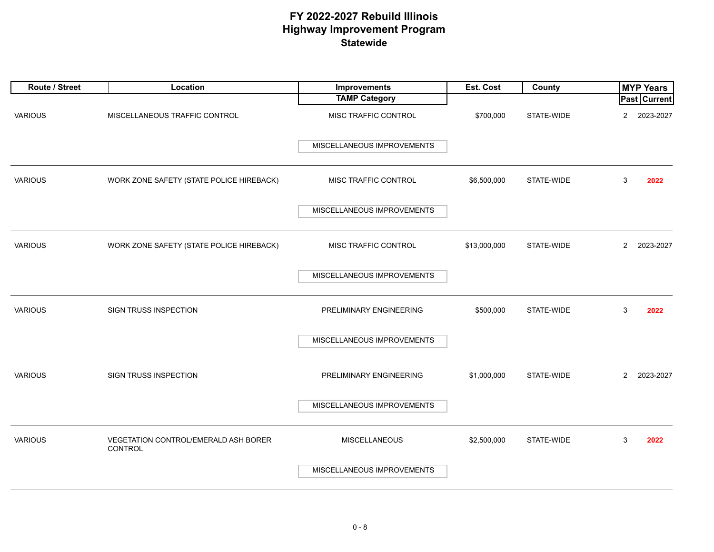| Route / Street | Location                                               | Improvements               | Est. Cost    | County     | <b>MYP Years</b>            |
|----------------|--------------------------------------------------------|----------------------------|--------------|------------|-----------------------------|
|                |                                                        | <b>TAMP Category</b>       |              |            | <b>Past Current</b>         |
| <b>VARIOUS</b> | MISCELLANEOUS TRAFFIC CONTROL                          | MISC TRAFFIC CONTROL       | \$700,000    | STATE-WIDE | $\overline{2}$<br>2023-2027 |
|                |                                                        | MISCELLANEOUS IMPROVEMENTS |              |            |                             |
| <b>VARIOUS</b> | WORK ZONE SAFETY (STATE POLICE HIREBACK)               | MISC TRAFFIC CONTROL       | \$6,500,000  | STATE-WIDE | 3<br>2022                   |
|                |                                                        | MISCELLANEOUS IMPROVEMENTS |              |            |                             |
| <b>VARIOUS</b> | WORK ZONE SAFETY (STATE POLICE HIREBACK)               | MISC TRAFFIC CONTROL       | \$13,000,000 | STATE-WIDE | $\overline{2}$<br>2023-2027 |
|                |                                                        | MISCELLANEOUS IMPROVEMENTS |              |            |                             |
| <b>VARIOUS</b> | SIGN TRUSS INSPECTION                                  | PRELIMINARY ENGINEERING    | \$500,000    | STATE-WIDE | 3<br>2022                   |
|                |                                                        | MISCELLANEOUS IMPROVEMENTS |              |            |                             |
| <b>VARIOUS</b> | <b>SIGN TRUSS INSPECTION</b>                           | PRELIMINARY ENGINEERING    | \$1,000,000  | STATE-WIDE | $\overline{2}$<br>2023-2027 |
|                |                                                        | MISCELLANEOUS IMPROVEMENTS |              |            |                             |
| <b>VARIOUS</b> | VEGETATION CONTROL/EMERALD ASH BORER<br><b>CONTROL</b> | <b>MISCELLANEOUS</b>       | \$2,500,000  | STATE-WIDE | 3<br>2022                   |
|                |                                                        | MISCELLANEOUS IMPROVEMENTS |              |            |                             |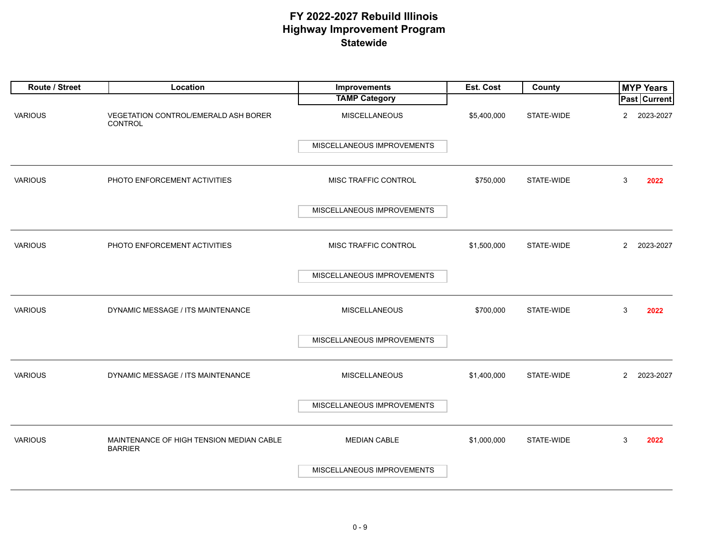| Route / Street | Location                                                   | Improvements               | Est. Cost   | County     | <b>MYP Years</b>            |
|----------------|------------------------------------------------------------|----------------------------|-------------|------------|-----------------------------|
|                |                                                            | <b>TAMP Category</b>       |             |            | Past Current                |
| <b>VARIOUS</b> | VEGETATION CONTROL/EMERALD ASH BORER<br>CONTROL            | <b>MISCELLANEOUS</b>       | \$5,400,000 | STATE-WIDE | $\overline{2}$<br>2023-2027 |
|                |                                                            | MISCELLANEOUS IMPROVEMENTS |             |            |                             |
| <b>VARIOUS</b> | PHOTO ENFORCEMENT ACTIVITIES                               | MISC TRAFFIC CONTROL       | \$750,000   | STATE-WIDE | 3<br>2022                   |
|                |                                                            | MISCELLANEOUS IMPROVEMENTS |             |            |                             |
| <b>VARIOUS</b> | PHOTO ENFORCEMENT ACTIVITIES                               | MISC TRAFFIC CONTROL       | \$1,500,000 | STATE-WIDE | $\overline{2}$<br>2023-2027 |
|                |                                                            | MISCELLANEOUS IMPROVEMENTS |             |            |                             |
| <b>VARIOUS</b> | DYNAMIC MESSAGE / ITS MAINTENANCE                          | <b>MISCELLANEOUS</b>       | \$700,000   | STATE-WIDE | 3<br>2022                   |
|                |                                                            | MISCELLANEOUS IMPROVEMENTS |             |            |                             |
| <b>VARIOUS</b> | DYNAMIC MESSAGE / ITS MAINTENANCE                          | <b>MISCELLANEOUS</b>       | \$1,400,000 | STATE-WIDE | $\overline{2}$<br>2023-2027 |
|                |                                                            | MISCELLANEOUS IMPROVEMENTS |             |            |                             |
| <b>VARIOUS</b> | MAINTENANCE OF HIGH TENSION MEDIAN CABLE<br><b>BARRIER</b> | <b>MEDIAN CABLE</b>        | \$1,000,000 | STATE-WIDE | 3<br>2022                   |
|                |                                                            | MISCELLANEOUS IMPROVEMENTS |             |            |                             |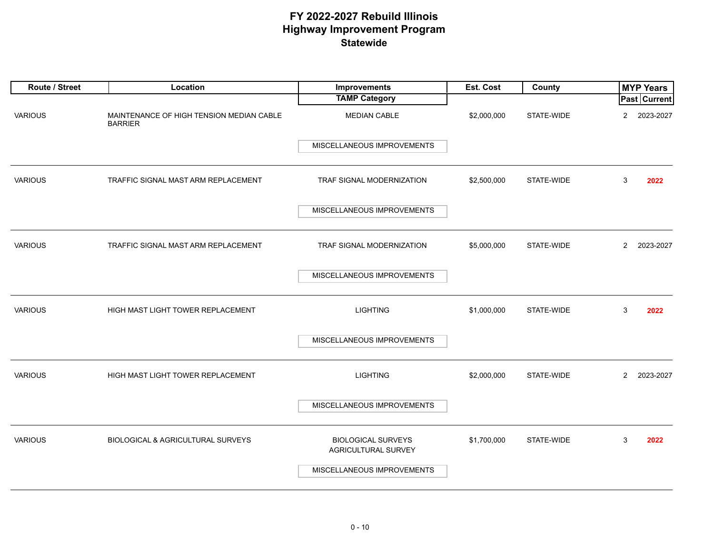| Route / Street | Location                                                   | Improvements                                     | Est. Cost   | County     | <b>MYP Years</b>            |
|----------------|------------------------------------------------------------|--------------------------------------------------|-------------|------------|-----------------------------|
|                |                                                            | <b>TAMP Category</b>                             |             |            | <b>Past Current</b>         |
| <b>VARIOUS</b> | MAINTENANCE OF HIGH TENSION MEDIAN CABLE<br><b>BARRIER</b> | <b>MEDIAN CABLE</b>                              | \$2,000,000 | STATE-WIDE | $\overline{2}$<br>2023-2027 |
|                |                                                            | MISCELLANEOUS IMPROVEMENTS                       |             |            |                             |
| <b>VARIOUS</b> | TRAFFIC SIGNAL MAST ARM REPLACEMENT                        | TRAF SIGNAL MODERNIZATION                        | \$2,500,000 | STATE-WIDE | 3<br>2022                   |
|                |                                                            | MISCELLANEOUS IMPROVEMENTS                       |             |            |                             |
| <b>VARIOUS</b> | TRAFFIC SIGNAL MAST ARM REPLACEMENT                        | TRAF SIGNAL MODERNIZATION                        | \$5,000,000 | STATE-WIDE | $\overline{2}$<br>2023-2027 |
|                |                                                            | MISCELLANEOUS IMPROVEMENTS                       |             |            |                             |
| <b>VARIOUS</b> | HIGH MAST LIGHT TOWER REPLACEMENT                          | <b>LIGHTING</b>                                  | \$1,000,000 | STATE-WIDE | 3<br>2022                   |
|                |                                                            | MISCELLANEOUS IMPROVEMENTS                       |             |            |                             |
| <b>VARIOUS</b> | HIGH MAST LIGHT TOWER REPLACEMENT                          | <b>LIGHTING</b>                                  | \$2,000,000 | STATE-WIDE | $\overline{2}$<br>2023-2027 |
|                |                                                            | MISCELLANEOUS IMPROVEMENTS                       |             |            |                             |
| <b>VARIOUS</b> | <b>BIOLOGICAL &amp; AGRICULTURAL SURVEYS</b>               | <b>BIOLOGICAL SURVEYS</b><br>AGRICULTURAL SURVEY | \$1,700,000 | STATE-WIDE | 3<br>2022                   |
|                |                                                            | MISCELLANEOUS IMPROVEMENTS                       |             |            |                             |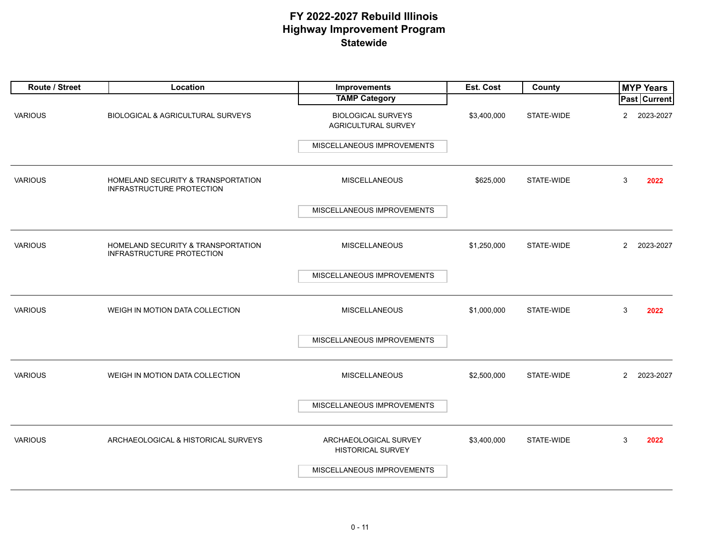| Route / Street | Location                                                               | Improvements                                      | Est. Cost   | County     |                | <b>MYP Years</b>    |
|----------------|------------------------------------------------------------------------|---------------------------------------------------|-------------|------------|----------------|---------------------|
|                |                                                                        | <b>TAMP Category</b>                              |             |            |                | <b>Past Current</b> |
| <b>VARIOUS</b> | <b>BIOLOGICAL &amp; AGRICULTURAL SURVEYS</b>                           | <b>BIOLOGICAL SURVEYS</b><br>AGRICULTURAL SURVEY  | \$3,400,000 | STATE-WIDE | $\overline{2}$ | 2023-2027           |
|                |                                                                        | MISCELLANEOUS IMPROVEMENTS                        |             |            |                |                     |
| <b>VARIOUS</b> | HOMELAND SECURITY & TRANSPORTATION<br><b>INFRASTRUCTURE PROTECTION</b> | <b>MISCELLANEOUS</b>                              | \$625,000   | STATE-WIDE | 3              | 2022                |
|                |                                                                        | MISCELLANEOUS IMPROVEMENTS                        |             |            |                |                     |
| <b>VARIOUS</b> | HOMELAND SECURITY & TRANSPORTATION<br>INFRASTRUCTURE PROTECTION        | MISCELLANEOUS                                     | \$1,250,000 | STATE-WIDE | $\overline{2}$ | 2023-2027           |
|                |                                                                        | MISCELLANEOUS IMPROVEMENTS                        |             |            |                |                     |
| <b>VARIOUS</b> | WEIGH IN MOTION DATA COLLECTION                                        | <b>MISCELLANEOUS</b>                              | \$1,000,000 | STATE-WIDE | 3              | 2022                |
|                |                                                                        | MISCELLANEOUS IMPROVEMENTS                        |             |            |                |                     |
| <b>VARIOUS</b> | WEIGH IN MOTION DATA COLLECTION                                        | <b>MISCELLANEOUS</b>                              | \$2,500,000 | STATE-WIDE | $\overline{2}$ | 2023-2027           |
|                |                                                                        | MISCELLANEOUS IMPROVEMENTS                        |             |            |                |                     |
| <b>VARIOUS</b> | ARCHAEOLOGICAL & HISTORICAL SURVEYS                                    | ARCHAEOLOGICAL SURVEY<br><b>HISTORICAL SURVEY</b> | \$3,400,000 | STATE-WIDE | 3              | 2022                |
|                |                                                                        | MISCELLANEOUS IMPROVEMENTS                        |             |            |                |                     |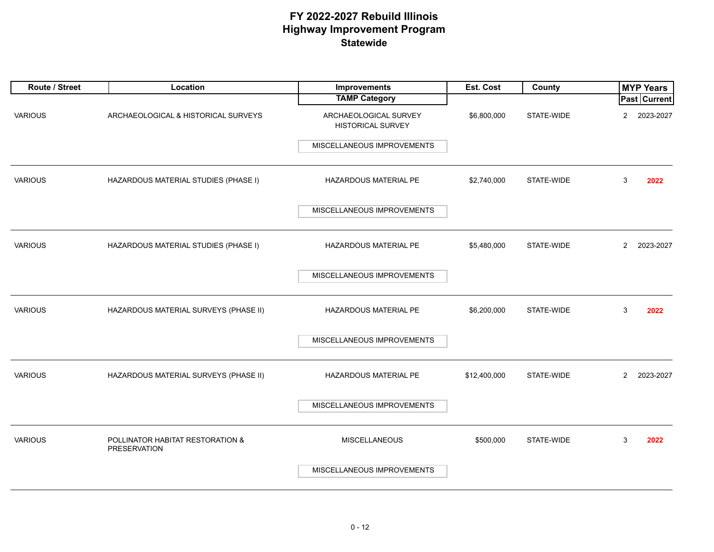| Route / Street | Location                                         | Improvements                                      | Est. Cost    | <b>County</b> |                | <b>MYP Years</b>    |
|----------------|--------------------------------------------------|---------------------------------------------------|--------------|---------------|----------------|---------------------|
|                |                                                  | <b>TAMP Category</b>                              |              |               |                | <b>Past Current</b> |
| <b>VARIOUS</b> | ARCHAEOLOGICAL & HISTORICAL SURVEYS              | ARCHAEOLOGICAL SURVEY<br><b>HISTORICAL SURVEY</b> | \$6,800,000  | STATE-WIDE    | $\overline{c}$ | 2023-2027           |
|                |                                                  | MISCELLANEOUS IMPROVEMENTS                        |              |               |                |                     |
| <b>VARIOUS</b> | HAZARDOUS MATERIAL STUDIES (PHASE I)             | HAZARDOUS MATERIAL PE                             | \$2,740,000  | STATE-WIDE    | 3              | 2022                |
|                |                                                  | MISCELLANEOUS IMPROVEMENTS                        |              |               |                |                     |
| <b>VARIOUS</b> | HAZARDOUS MATERIAL STUDIES (PHASE I)             | HAZARDOUS MATERIAL PE                             | \$5,480,000  | STATE-WIDE    | $\overline{2}$ | 2023-2027           |
|                |                                                  | MISCELLANEOUS IMPROVEMENTS                        |              |               |                |                     |
| <b>VARIOUS</b> | HAZARDOUS MATERIAL SURVEYS (PHASE II)            | HAZARDOUS MATERIAL PE                             | \$6,200,000  | STATE-WIDE    | 3              | 2022                |
|                |                                                  | MISCELLANEOUS IMPROVEMENTS                        |              |               |                |                     |
| <b>VARIOUS</b> | HAZARDOUS MATERIAL SURVEYS (PHASE II)            | HAZARDOUS MATERIAL PE                             | \$12,400,000 | STATE-WIDE    | $\overline{2}$ | 2023-2027           |
|                |                                                  | MISCELLANEOUS IMPROVEMENTS                        |              |               |                |                     |
| <b>VARIOUS</b> | POLLINATOR HABITAT RESTORATION &<br>PRESERVATION | <b>MISCELLANEOUS</b>                              | \$500,000    | STATE-WIDE    | 3              | 2022                |
|                |                                                  | MISCELLANEOUS IMPROVEMENTS                        |              |               |                |                     |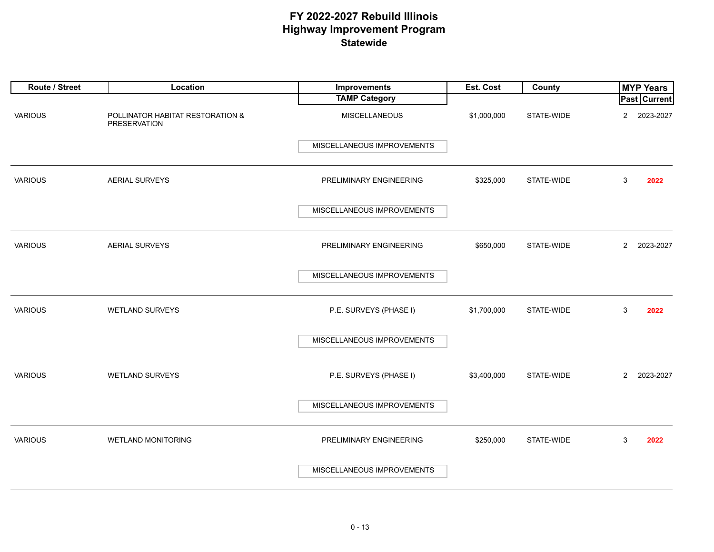| Route / Street | Location                                                | Improvements               | Est. Cost   | County     |                | <b>MYP Years</b>    |
|----------------|---------------------------------------------------------|----------------------------|-------------|------------|----------------|---------------------|
|                |                                                         | <b>TAMP Category</b>       |             |            |                | <b>Past Current</b> |
| <b>VARIOUS</b> | POLLINATOR HABITAT RESTORATION &<br><b>PRESERVATION</b> | <b>MISCELLANEOUS</b>       | \$1,000,000 | STATE-WIDE | $\mathbf{2}$   | 2023-2027           |
|                |                                                         | MISCELLANEOUS IMPROVEMENTS |             |            |                |                     |
| <b>VARIOUS</b> | <b>AERIAL SURVEYS</b>                                   | PRELIMINARY ENGINEERING    | \$325,000   | STATE-WIDE | 3              | 2022                |
|                |                                                         | MISCELLANEOUS IMPROVEMENTS |             |            |                |                     |
| <b>VARIOUS</b> | AERIAL SURVEYS                                          | PRELIMINARY ENGINEERING    | \$650,000   | STATE-WIDE | $\overline{2}$ | 2023-2027           |
|                |                                                         | MISCELLANEOUS IMPROVEMENTS |             |            |                |                     |
| <b>VARIOUS</b> | <b>WETLAND SURVEYS</b>                                  | P.E. SURVEYS (PHASE I)     | \$1,700,000 | STATE-WIDE | 3              | 2022                |
|                |                                                         | MISCELLANEOUS IMPROVEMENTS |             |            |                |                     |
| <b>VARIOUS</b> | <b>WETLAND SURVEYS</b>                                  | P.E. SURVEYS (PHASE I)     | \$3,400,000 | STATE-WIDE | $2^{\circ}$    | 2023-2027           |
|                |                                                         | MISCELLANEOUS IMPROVEMENTS |             |            |                |                     |
| <b>VARIOUS</b> | <b>WETLAND MONITORING</b>                               | PRELIMINARY ENGINEERING    | \$250,000   | STATE-WIDE | 3              | 2022                |
|                |                                                         | MISCELLANEOUS IMPROVEMENTS |             |            |                |                     |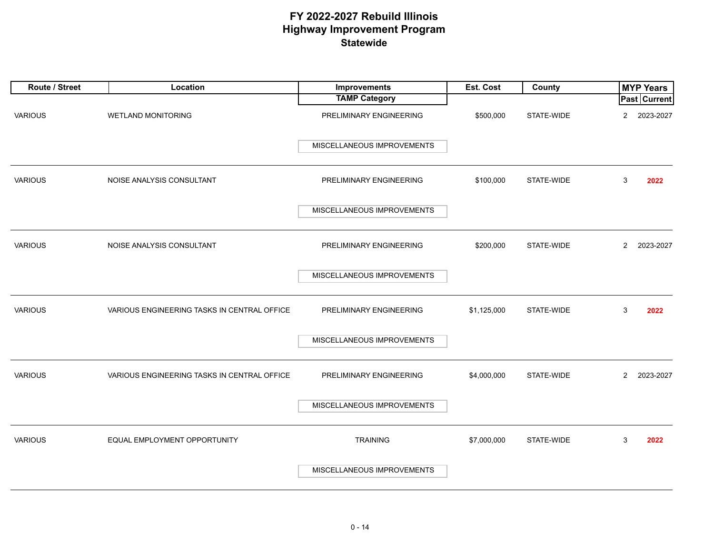| Route / Street | Location                                    | Improvements               | Est. Cost   | County     |                | <b>MYP Years</b>    |
|----------------|---------------------------------------------|----------------------------|-------------|------------|----------------|---------------------|
|                |                                             | <b>TAMP Category</b>       |             |            |                | <b>Past Current</b> |
| <b>VARIOUS</b> | <b>WETLAND MONITORING</b>                   | PRELIMINARY ENGINEERING    | \$500,000   | STATE-WIDE | $\overline{2}$ | 2023-2027           |
|                |                                             | MISCELLANEOUS IMPROVEMENTS |             |            |                |                     |
| <b>VARIOUS</b> | NOISE ANALYSIS CONSULTANT                   | PRELIMINARY ENGINEERING    | \$100,000   | STATE-WIDE | 3              | 2022                |
|                |                                             | MISCELLANEOUS IMPROVEMENTS |             |            |                |                     |
| <b>VARIOUS</b> | NOISE ANALYSIS CONSULTANT                   | PRELIMINARY ENGINEERING    | \$200,000   | STATE-WIDE | $\overline{2}$ | 2023-2027           |
|                |                                             | MISCELLANEOUS IMPROVEMENTS |             |            |                |                     |
| <b>VARIOUS</b> | VARIOUS ENGINEERING TASKS IN CENTRAL OFFICE | PRELIMINARY ENGINEERING    | \$1,125,000 | STATE-WIDE | 3              | 2022                |
|                |                                             | MISCELLANEOUS IMPROVEMENTS |             |            |                |                     |
| <b>VARIOUS</b> | VARIOUS ENGINEERING TASKS IN CENTRAL OFFICE | PRELIMINARY ENGINEERING    | \$4,000,000 | STATE-WIDE | $\overline{2}$ | 2023-2027           |
|                |                                             | MISCELLANEOUS IMPROVEMENTS |             |            |                |                     |
| <b>VARIOUS</b> | EQUAL EMPLOYMENT OPPORTUNITY                | <b>TRAINING</b>            | \$7,000,000 | STATE-WIDE | 3              | 2022                |
|                |                                             | MISCELLANEOUS IMPROVEMENTS |             |            |                |                     |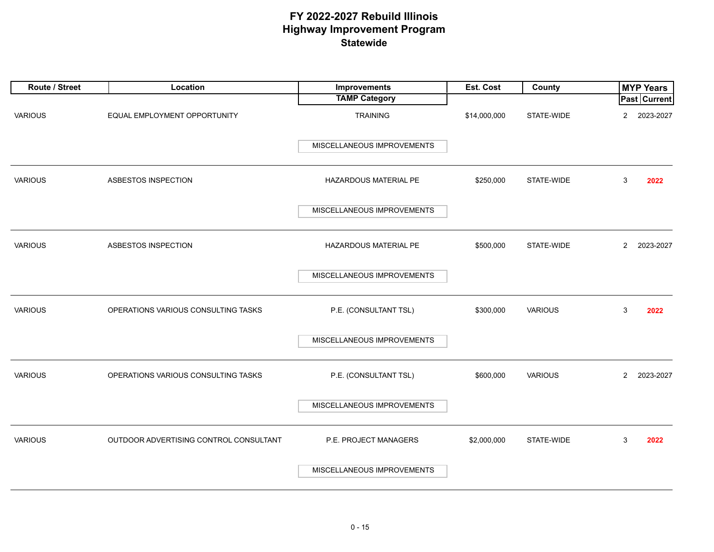| Route / Street | Location                               | Improvements               | Est. Cost    | County         | <b>MYP Years</b>            |
|----------------|----------------------------------------|----------------------------|--------------|----------------|-----------------------------|
|                |                                        | <b>TAMP Category</b>       |              |                | <b>Past Current</b>         |
| <b>VARIOUS</b> | EQUAL EMPLOYMENT OPPORTUNITY           | <b>TRAINING</b>            | \$14,000,000 | STATE-WIDE     | 2023-2027<br>$\overline{2}$ |
|                |                                        | MISCELLANEOUS IMPROVEMENTS |              |                |                             |
| <b>VARIOUS</b> | ASBESTOS INSPECTION                    | HAZARDOUS MATERIAL PE      | \$250,000    | STATE-WIDE     | 3<br>2022                   |
|                |                                        | MISCELLANEOUS IMPROVEMENTS |              |                |                             |
| <b>VARIOUS</b> | ASBESTOS INSPECTION                    | HAZARDOUS MATERIAL PE      | \$500,000    | STATE-WIDE     | 2023-2027<br>$\overline{2}$ |
|                |                                        | MISCELLANEOUS IMPROVEMENTS |              |                |                             |
| <b>VARIOUS</b> | OPERATIONS VARIOUS CONSULTING TASKS    | P.E. (CONSULTANT TSL)      | \$300,000    | <b>VARIOUS</b> | 3<br>2022                   |
|                |                                        | MISCELLANEOUS IMPROVEMENTS |              |                |                             |
| <b>VARIOUS</b> | OPERATIONS VARIOUS CONSULTING TASKS    | P.E. (CONSULTANT TSL)      | \$600,000    | <b>VARIOUS</b> | $\overline{2}$<br>2023-2027 |
|                |                                        | MISCELLANEOUS IMPROVEMENTS |              |                |                             |
| <b>VARIOUS</b> | OUTDOOR ADVERTISING CONTROL CONSULTANT | P.E. PROJECT MANAGERS      | \$2,000,000  | STATE-WIDE     | 3<br>2022                   |
|                |                                        | MISCELLANEOUS IMPROVEMENTS |              |                |                             |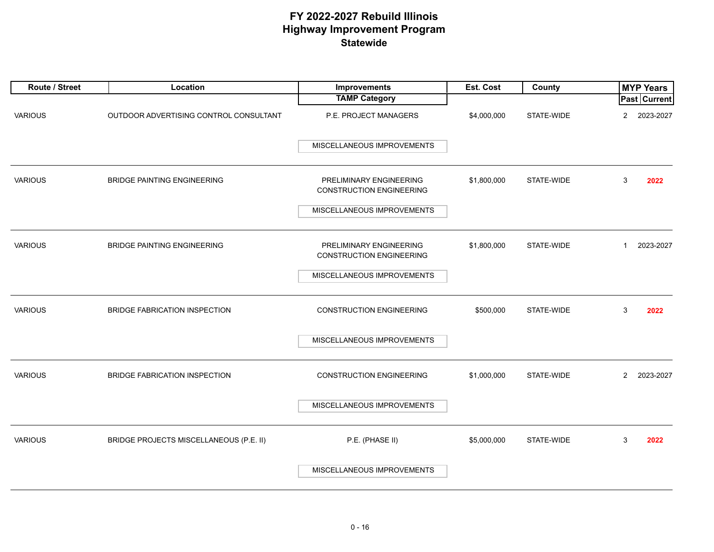| Route / Street | Location                                | Improvements                                               | Est. Cost   | County     | <b>MYP Years</b>            |
|----------------|-----------------------------------------|------------------------------------------------------------|-------------|------------|-----------------------------|
|                |                                         | <b>TAMP Category</b>                                       |             |            | <b>Past Current</b>         |
| <b>VARIOUS</b> | OUTDOOR ADVERTISING CONTROL CONSULTANT  | P.E. PROJECT MANAGERS                                      | \$4,000,000 | STATE-WIDE | 2023-2027<br>$\overline{2}$ |
|                |                                         | MISCELLANEOUS IMPROVEMENTS                                 |             |            |                             |
| <b>VARIOUS</b> | <b>BRIDGE PAINTING ENGINEERING</b>      | PRELIMINARY ENGINEERING<br><b>CONSTRUCTION ENGINEERING</b> | \$1,800,000 | STATE-WIDE | 3<br>2022                   |
|                |                                         | MISCELLANEOUS IMPROVEMENTS                                 |             |            |                             |
| <b>VARIOUS</b> | <b>BRIDGE PAINTING ENGINEERING</b>      | PRELIMINARY ENGINEERING<br><b>CONSTRUCTION ENGINEERING</b> | \$1,800,000 | STATE-WIDE | 2023-2027<br>$\mathbf{1}$   |
|                |                                         | MISCELLANEOUS IMPROVEMENTS                                 |             |            |                             |
| <b>VARIOUS</b> | BRIDGE FABRICATION INSPECTION           | <b>CONSTRUCTION ENGINEERING</b>                            | \$500,000   | STATE-WIDE | 3<br>2022                   |
|                |                                         | MISCELLANEOUS IMPROVEMENTS                                 |             |            |                             |
| <b>VARIOUS</b> | BRIDGE FABRICATION INSPECTION           | <b>CONSTRUCTION ENGINEERING</b>                            | \$1,000,000 | STATE-WIDE | 2023-2027<br>$\mathbf{2}$   |
|                |                                         | MISCELLANEOUS IMPROVEMENTS                                 |             |            |                             |
| <b>VARIOUS</b> | BRIDGE PROJECTS MISCELLANEOUS (P.E. II) | P.E. (PHASE II)                                            | \$5,000,000 | STATE-WIDE | 3<br>2022                   |
|                |                                         | MISCELLANEOUS IMPROVEMENTS                                 |             |            |                             |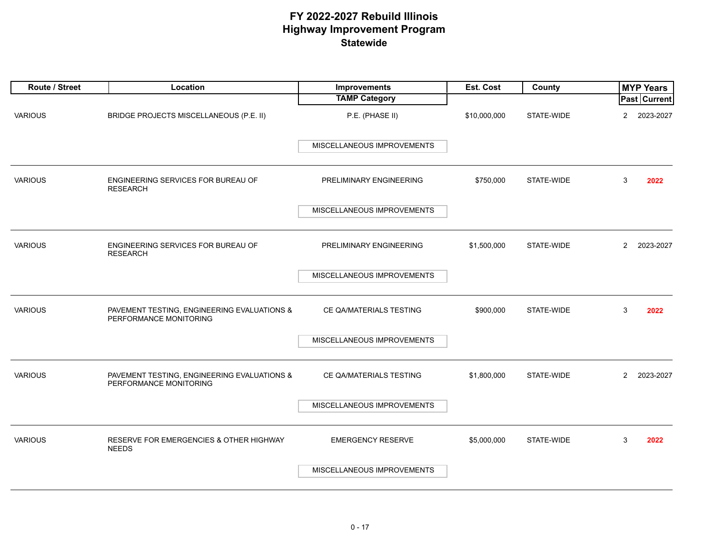| Route / Street | Location                                                              | <b>Improvements</b>        | Est. Cost    | County     | <b>MYP Years</b>            |
|----------------|-----------------------------------------------------------------------|----------------------------|--------------|------------|-----------------------------|
|                |                                                                       | <b>TAMP Category</b>       |              |            | Past Current                |
| <b>VARIOUS</b> | BRIDGE PROJECTS MISCELLANEOUS (P.E. II)                               | P.E. (PHASE II)            | \$10,000,000 | STATE-WIDE | $\overline{2}$<br>2023-2027 |
|                |                                                                       | MISCELLANEOUS IMPROVEMENTS |              |            |                             |
| <b>VARIOUS</b> | ENGINEERING SERVICES FOR BUREAU OF<br><b>RESEARCH</b>                 | PRELIMINARY ENGINEERING    | \$750,000    | STATE-WIDE | 3<br>2022                   |
|                |                                                                       | MISCELLANEOUS IMPROVEMENTS |              |            |                             |
| <b>VARIOUS</b> | ENGINEERING SERVICES FOR BUREAU OF<br><b>RESEARCH</b>                 | PRELIMINARY ENGINEERING    | \$1,500,000  | STATE-WIDE | $\overline{2}$<br>2023-2027 |
|                |                                                                       | MISCELLANEOUS IMPROVEMENTS |              |            |                             |
| <b>VARIOUS</b> | PAVEMENT TESTING, ENGINEERING EVALUATIONS &<br>PERFORMANCE MONITORING | CE QA/MATERIALS TESTING    | \$900,000    | STATE-WIDE | 3<br>2022                   |
|                |                                                                       | MISCELLANEOUS IMPROVEMENTS |              |            |                             |
| <b>VARIOUS</b> | PAVEMENT TESTING, ENGINEERING EVALUATIONS &<br>PERFORMANCE MONITORING | CE QA/MATERIALS TESTING    | \$1,800,000  | STATE-WIDE | $\overline{2}$<br>2023-2027 |
|                |                                                                       | MISCELLANEOUS IMPROVEMENTS |              |            |                             |
| <b>VARIOUS</b> | RESERVE FOR EMERGENCIES & OTHER HIGHWAY<br><b>NEEDS</b>               | <b>EMERGENCY RESERVE</b>   | \$5,000,000  | STATE-WIDE | 3<br>2022                   |
|                |                                                                       | MISCELLANEOUS IMPROVEMENTS |              |            |                             |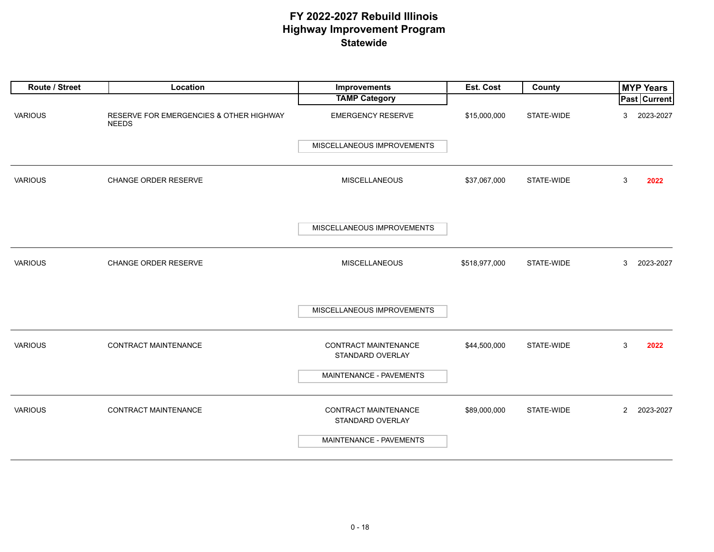| Route / Street | Location                                                | Improvements                             | Est. Cost     | County     | <b>MYP Years</b>         |
|----------------|---------------------------------------------------------|------------------------------------------|---------------|------------|--------------------------|
|                |                                                         | <b>TAMP Category</b>                     |               |            | Past Current             |
| <b>VARIOUS</b> | RESERVE FOR EMERGENCIES & OTHER HIGHWAY<br><b>NEEDS</b> | <b>EMERGENCY RESERVE</b>                 | \$15,000,000  | STATE-WIDE | 2023-2027<br>3           |
|                |                                                         | MISCELLANEOUS IMPROVEMENTS               |               |            |                          |
|                |                                                         |                                          |               |            |                          |
| <b>VARIOUS</b> | CHANGE ORDER RESERVE                                    | <b>MISCELLANEOUS</b>                     | \$37,067,000  | STATE-WIDE | 3<br>2022                |
|                |                                                         | MISCELLANEOUS IMPROVEMENTS               |               |            |                          |
| <b>VARIOUS</b> | CHANGE ORDER RESERVE                                    | <b>MISCELLANEOUS</b>                     | \$518,977,000 | STATE-WIDE | 2023-2027<br>3           |
|                |                                                         | MISCELLANEOUS IMPROVEMENTS               |               |            |                          |
| <b>VARIOUS</b> | CONTRACT MAINTENANCE                                    | CONTRACT MAINTENANCE<br>STANDARD OVERLAY | \$44,500,000  | STATE-WIDE | 3<br>2022                |
|                |                                                         | MAINTENANCE - PAVEMENTS                  |               |            |                          |
| <b>VARIOUS</b> | CONTRACT MAINTENANCE                                    | CONTRACT MAINTENANCE<br>STANDARD OVERLAY | \$89,000,000  | STATE-WIDE | 2023-2027<br>$2^{\circ}$ |
|                |                                                         | MAINTENANCE - PAVEMENTS                  |               |            |                          |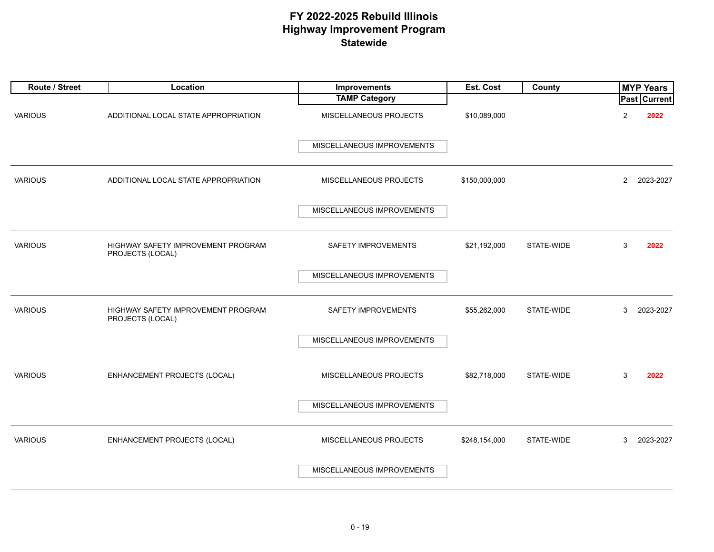| Route / Street | Location                                               | Improvements               | Est. Cost     | County     |                | <b>MYP Years</b> |
|----------------|--------------------------------------------------------|----------------------------|---------------|------------|----------------|------------------|
|                |                                                        | <b>TAMP Category</b>       |               |            |                | Past Current     |
| <b>VARIOUS</b> | ADDITIONAL LOCAL STATE APPROPRIATION                   | MISCELLANEOUS PROJECTS     | \$10,089,000  |            | $\overline{2}$ | 2022             |
|                |                                                        | MISCELLANEOUS IMPROVEMENTS |               |            |                |                  |
| <b>VARIOUS</b> | ADDITIONAL LOCAL STATE APPROPRIATION                   | MISCELLANEOUS PROJECTS     | \$150,000,000 |            | $\overline{2}$ | 2023-2027        |
|                |                                                        | MISCELLANEOUS IMPROVEMENTS |               |            |                |                  |
| <b>VARIOUS</b> | HIGHWAY SAFETY IMPROVEMENT PROGRAM<br>PROJECTS (LOCAL) | SAFETY IMPROVEMENTS        | \$21,192,000  | STATE-WIDE | 3              | 2022             |
|                |                                                        | MISCELLANEOUS IMPROVEMENTS |               |            |                |                  |
| <b>VARIOUS</b> | HIGHWAY SAFETY IMPROVEMENT PROGRAM<br>PROJECTS (LOCAL) | SAFETY IMPROVEMENTS        | \$55,262,000  | STATE-WIDE | 3              | 2023-2027        |
|                |                                                        | MISCELLANEOUS IMPROVEMENTS |               |            |                |                  |
| <b>VARIOUS</b> | <b>ENHANCEMENT PROJECTS (LOCAL)</b>                    | MISCELLANEOUS PROJECTS     | \$82,718,000  | STATE-WIDE | 3              | 2022             |
|                |                                                        | MISCELLANEOUS IMPROVEMENTS |               |            |                |                  |
| <b>VARIOUS</b> | ENHANCEMENT PROJECTS (LOCAL)                           | MISCELLANEOUS PROJECTS     | \$248,154,000 | STATE-WIDE | 3              | 2023-2027        |
|                |                                                        | MISCELLANEOUS IMPROVEMENTS |               |            |                |                  |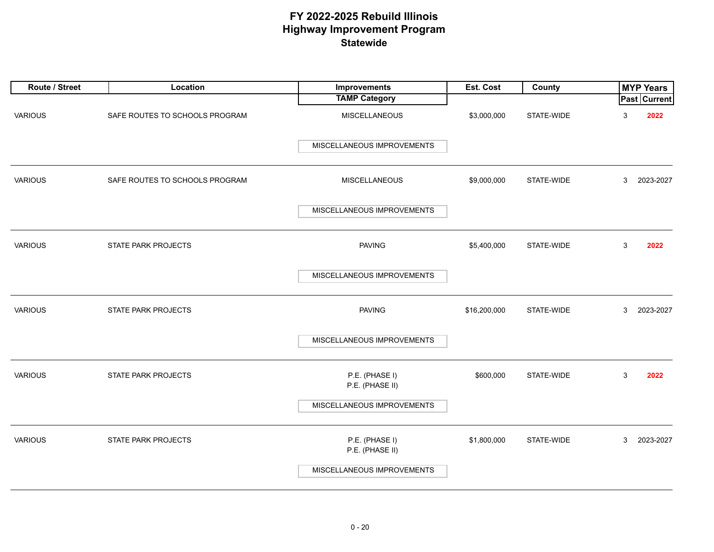| Route / Street | Location                       | Improvements                      | Est. Cost    | County     |   | <b>MYP Years</b>    |
|----------------|--------------------------------|-----------------------------------|--------------|------------|---|---------------------|
|                |                                | <b>TAMP Category</b>              |              |            |   | <b>Past Current</b> |
| <b>VARIOUS</b> | SAFE ROUTES TO SCHOOLS PROGRAM | <b>MISCELLANEOUS</b>              | \$3,000,000  | STATE-WIDE | 3 | 2022                |
|                |                                | MISCELLANEOUS IMPROVEMENTS        |              |            |   |                     |
| <b>VARIOUS</b> | SAFE ROUTES TO SCHOOLS PROGRAM | <b>MISCELLANEOUS</b>              | \$9,000,000  | STATE-WIDE | 3 | 2023-2027           |
|                |                                | MISCELLANEOUS IMPROVEMENTS        |              |            |   |                     |
| <b>VARIOUS</b> | STATE PARK PROJECTS            | <b>PAVING</b>                     | \$5,400,000  | STATE-WIDE | 3 | 2022                |
|                |                                | MISCELLANEOUS IMPROVEMENTS        |              |            |   |                     |
| <b>VARIOUS</b> | STATE PARK PROJECTS            | <b>PAVING</b>                     | \$16,200,000 | STATE-WIDE | 3 | 2023-2027           |
|                |                                | MISCELLANEOUS IMPROVEMENTS        |              |            |   |                     |
| <b>VARIOUS</b> | STATE PARK PROJECTS            | P.E. (PHASE I)<br>P.E. (PHASE II) | \$600,000    | STATE-WIDE | 3 | 2022                |
|                |                                | MISCELLANEOUS IMPROVEMENTS        |              |            |   |                     |
| <b>VARIOUS</b> | STATE PARK PROJECTS            | P.E. (PHASE I)<br>P.E. (PHASE II) | \$1,800,000  | STATE-WIDE | 3 | 2023-2027           |
|                |                                | MISCELLANEOUS IMPROVEMENTS        |              |            |   |                     |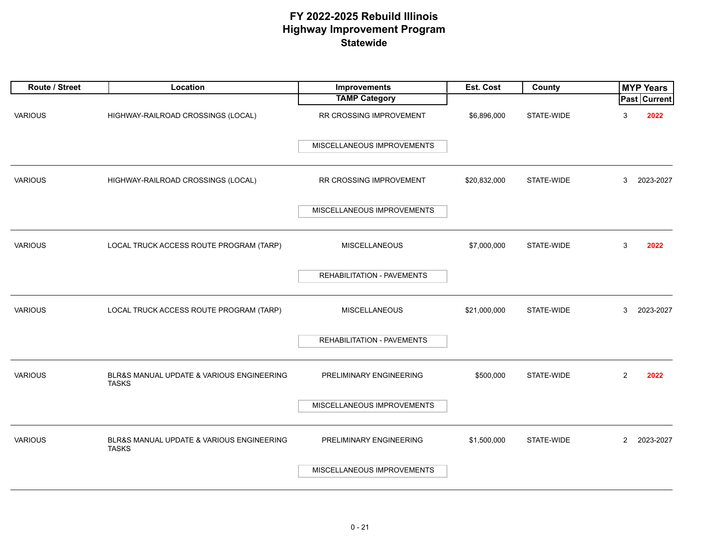| Route / Street | Location                                                  | Improvements               | Est. Cost    | County     |                | <b>MYP Years</b>    |
|----------------|-----------------------------------------------------------|----------------------------|--------------|------------|----------------|---------------------|
|                |                                                           | <b>TAMP Category</b>       |              |            |                | <b>Past Current</b> |
| <b>VARIOUS</b> | HIGHWAY-RAILROAD CROSSINGS (LOCAL)                        | RR CROSSING IMPROVEMENT    | \$6,896,000  | STATE-WIDE | 3              | 2022                |
|                |                                                           | MISCELLANEOUS IMPROVEMENTS |              |            |                |                     |
| <b>VARIOUS</b> | HIGHWAY-RAILROAD CROSSINGS (LOCAL)                        | RR CROSSING IMPROVEMENT    | \$20,832,000 | STATE-WIDE | 3              | 2023-2027           |
|                |                                                           | MISCELLANEOUS IMPROVEMENTS |              |            |                |                     |
| <b>VARIOUS</b> | LOCAL TRUCK ACCESS ROUTE PROGRAM (TARP)                   | MISCELLANEOUS              | \$7,000,000  | STATE-WIDE | 3              | 2022                |
|                |                                                           | REHABILITATION - PAVEMENTS |              |            |                |                     |
| <b>VARIOUS</b> | LOCAL TRUCK ACCESS ROUTE PROGRAM (TARP)                   | <b>MISCELLANEOUS</b>       | \$21,000,000 | STATE-WIDE | 3              | 2023-2027           |
|                |                                                           | REHABILITATION - PAVEMENTS |              |            |                |                     |
| <b>VARIOUS</b> | BLR&S MANUAL UPDATE & VARIOUS ENGINEERING<br><b>TASKS</b> | PRELIMINARY ENGINEERING    | \$500,000    | STATE-WIDE | 2              | 2022                |
|                |                                                           | MISCELLANEOUS IMPROVEMENTS |              |            |                |                     |
| <b>VARIOUS</b> | BLR&S MANUAL UPDATE & VARIOUS ENGINEERING<br><b>TASKS</b> | PRELIMINARY ENGINEERING    | \$1,500,000  | STATE-WIDE | $\overline{2}$ | 2023-2027           |
|                |                                                           | MISCELLANEOUS IMPROVEMENTS |              |            |                |                     |